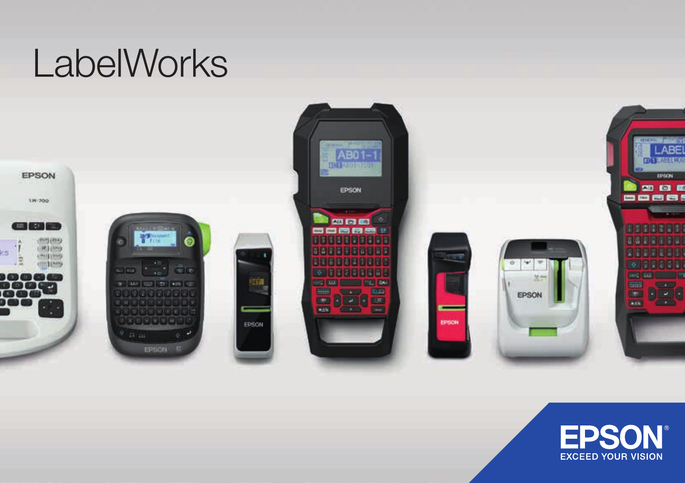

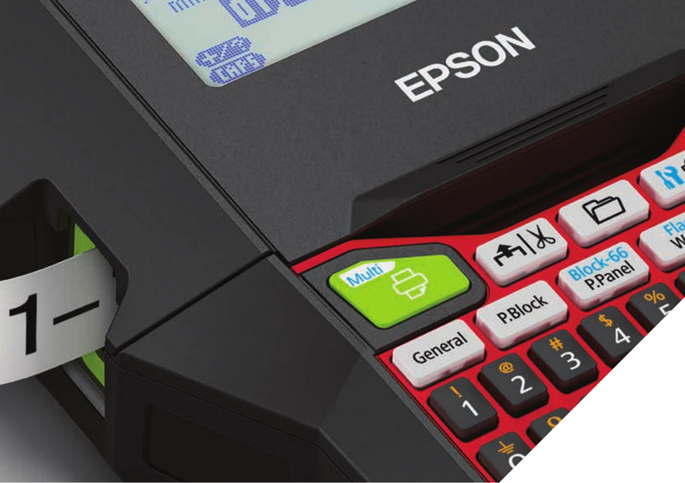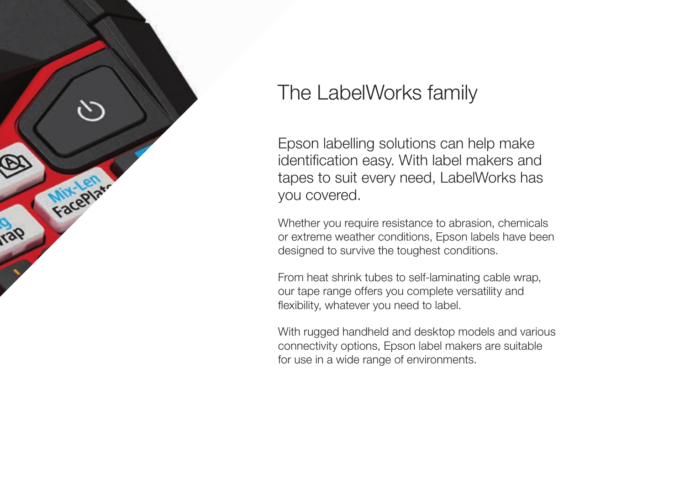

#### The LabelWorks family

Epson labelling solutions can help make identification easy. With label makers and tapes to suit every need, LabelWorks has you covered.

Whether you require resistance to abrasion, chemicals or extreme weather conditions, Epson labels have been designed to survive the toughest conditions.

From heat shrink tubes to self-laminating cable wrap, our tape range offers you complete versatility and flexibility, whatever you need to label.

With rugged handheld and desktop models and various connectivity options, Epson label makers are suitable for use in a wide range of environments.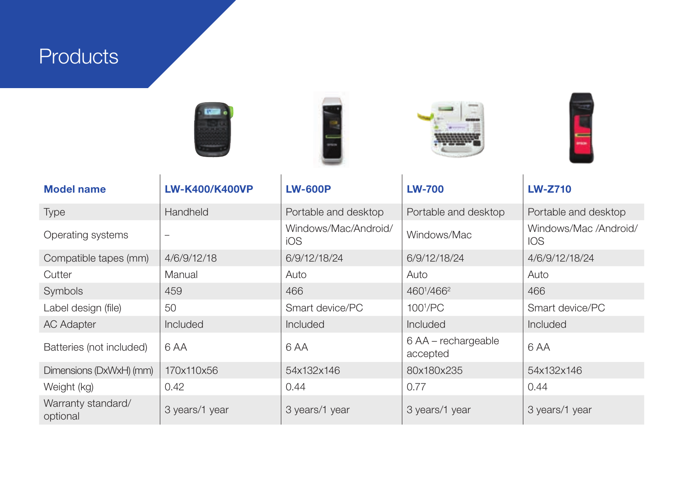## Products









| <b>Model name</b>              | <b>LW-K400/K400VP</b>    | <b>LW-600P</b>              | <b>LW-700</b>                   | <b>LW-Z710</b>                      |
|--------------------------------|--------------------------|-----------------------------|---------------------------------|-------------------------------------|
| <b>Type</b>                    | Handheld                 | Portable and desktop        | Portable and desktop            | Portable and desktop                |
| Operating systems              | $\overline{\phantom{0}}$ | Windows/Mac/Android/<br>iOS | Windows/Mac                     | Windows/Mac /Android/<br><b>IOS</b> |
| Compatible tapes (mm)          | 4/6/9/12/18              | 6/9/12/18/24                | 6/9/12/18/24                    | 4/6/9/12/18/24                      |
| Cutter                         | Manual                   | Auto                        | Auto                            | Auto                                |
| Symbols                        | 459                      | 466                         | 4601/4662                       | 466                                 |
| Label design (file)            | 50                       | Smart device/PC             | $100^{1}/PC$                    | Smart device/PC                     |
| <b>AC Adapter</b>              | Included                 | Included                    | Included                        | Included                            |
| Batteries (not included)       | 6 AA                     | 6 AA                        | 6 AA - rechargeable<br>accepted | 6 AA                                |
| Dimensions (DxWxH) (mm)        | 170x110x56               | 54x132x146                  | 80x180x235                      | 54x132x146                          |
| Weight (kg)                    | 0.42                     | 0.44                        | 0.77                            | 0.44                                |
| Warranty standard/<br>optional | 3 years/1 year           | 3 years/1 year              | 3 years/1 year                  | 3 years/1 year                      |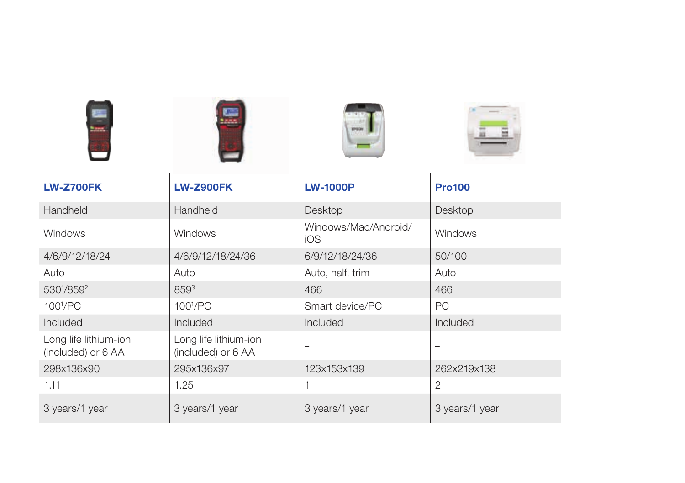







| <b>LW-Z700FK</b>                            | <b>LW-Z900FK</b>                            | <b>LW-1000P</b>             | <b>Pro100</b>  |
|---------------------------------------------|---------------------------------------------|-----------------------------|----------------|
| Handheld                                    | Handheld                                    | Desktop                     | Desktop        |
| <b>Windows</b>                              | <b>Windows</b>                              | Windows/Mac/Android/<br>iOS | <b>Windows</b> |
| 4/6/9/12/18/24                              | 4/6/9/12/18/24/36                           | 6/9/12/18/24/36             | 50/100         |
| Auto                                        | Auto                                        | Auto, half, trim            | Auto           |
| 5301/8592                                   | $859^{3}$                                   | 466                         | 466            |
| $100^{1}/PC$                                | 100 <sup>1</sup> /PC                        | Smart device/PC             | <b>PC</b>      |
| Included                                    | Included                                    | Included                    | Included       |
| Long life lithium-ion<br>(included) or 6 AA | Long life lithium-ion<br>(included) or 6 AA |                             |                |
| 298x136x90                                  | 295x136x97                                  | 123x153x139                 | 262x219x138    |
| 1.11                                        | 1.25                                        |                             | $\overline{2}$ |
| 3 years/1 year                              | 3 years/1 year                              | 3 years/1 year              | 3 years/1 year |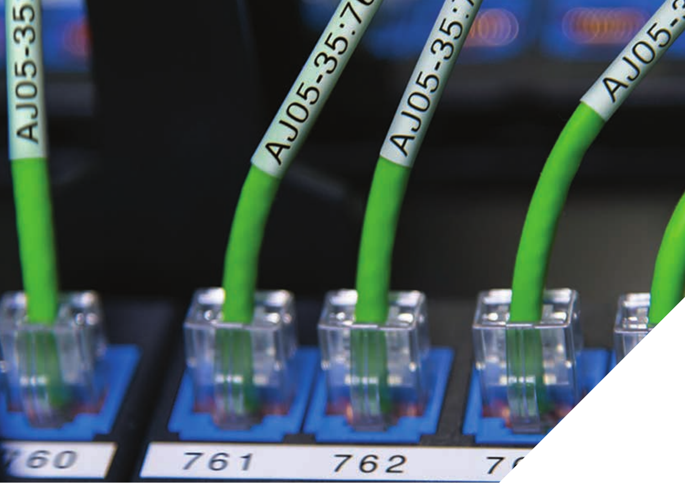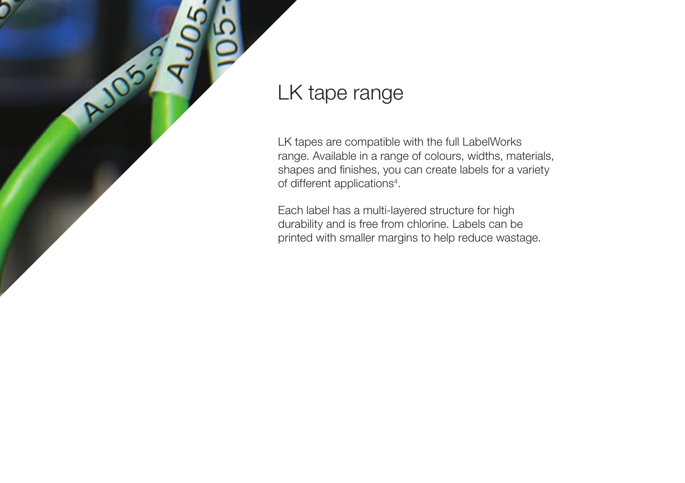#### LK tape range

AJOS

LK tapes are compatible with the full LabelWorks range. Available in a range of colours, widths, materials, shapes and finishes, you can create labels for a variety of different applications<sup>4</sup>.

Each label has a multi-layered structure for high durability and is free from chlorine. Labels can be printed with smaller margins to help reduce wastage.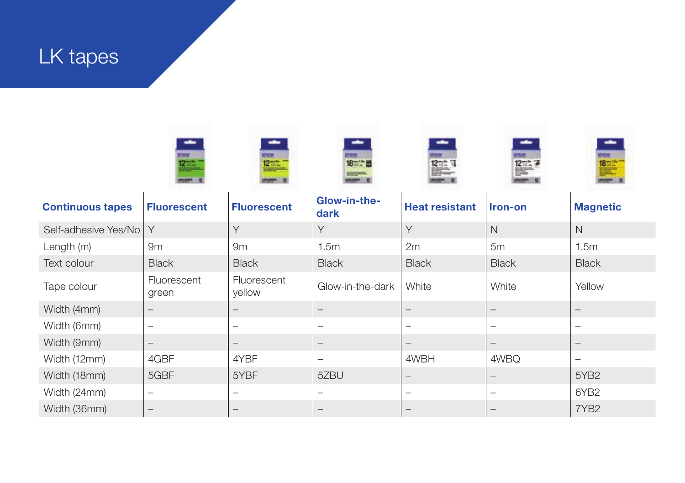### LK tapes

|                         | <b>ISSON</b><br>$12$ $-$<br>1,000 | ma<br>$12 - 12$          | <b>BSR</b><br>$18 - 14$  | $12 - 7$                         | $12 - 2$                 | 18 = =                   |
|-------------------------|-----------------------------------|--------------------------|--------------------------|----------------------------------|--------------------------|--------------------------|
| <b>Continuous tapes</b> | <b>Fluorescent</b>                | <b>Fluorescent</b>       | Glow-in-the-<br>dark     | <b>Heat resistant</b>            | Iron-on                  | <b>Magnetic</b>          |
| Self-adhesive Yes/No    | Y                                 | Y                        | Y                        | Y                                | $\mathsf{N}$             | $\hbox{N}$               |
| Length (m)              | 9 <sub>m</sub>                    | 9m                       | 1.5m                     | 2m                               | 5 <sub>m</sub>           | 1.5m                     |
| Text colour             | <b>Black</b>                      | <b>Black</b>             | <b>Black</b>             | <b>Black</b>                     | <b>Black</b>             | <b>Black</b>             |
| Tape colour             | Fluorescent<br>green              | Fluorescent<br>yellow    | Glow-in-the-dark         | White                            | White                    | Yellow                   |
| Width (4mm)             | $\qquad \qquad -$                 | —                        | $\qquad \qquad -$        | $\qquad \qquad -$                | $\qquad \qquad -$        | $\overline{\phantom{m}}$ |
| Width (6mm)             | $\overline{\phantom{0}}$          | —                        | $\qquad \qquad -$        | $\overbrace{\phantom{12322111}}$ | $\overline{\phantom{m}}$ |                          |
| Width (9mm)             | $\qquad \qquad -$                 | $\qquad \qquad -$        | $\qquad \qquad -$        | $\qquad \qquad -$                | $\overline{\phantom{m}}$ | $\overline{\phantom{m}}$ |
| Width (12mm)            | 4GBF                              | 4YBF                     | $\overline{\phantom{m}}$ | 4WBH                             | 4WBQ                     | $\overline{\phantom{m}}$ |
| Width (18mm)            | 5GBF                              | 5YBF                     | 5ZBU                     | $\overline{\phantom{m}}$         | $\overline{\phantom{m}}$ | 5YB <sub>2</sub>         |
| Width (24mm)            | $\overline{\phantom{0}}$          | $\overline{\phantom{0}}$ |                          | $\overline{\phantom{0}}$         | $\overline{\phantom{0}}$ | 6YB <sub>2</sub>         |
| Width (36mm)            | $\overline{\phantom{0}}$          |                          | $\overline{\phantom{0}}$ | $\overline{\phantom{0}}$         | $\overline{\phantom{m}}$ | 7YB <sub>2</sub>         |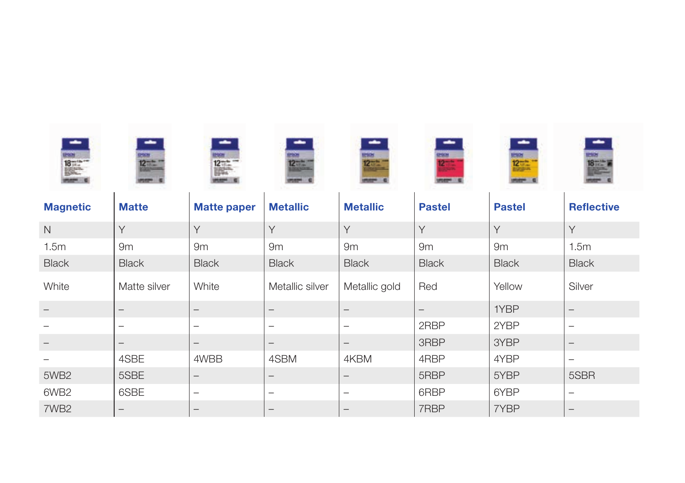| <b>Pool</b><br>$\begin{array}{c} 18 \\ \hline \end{array}$ | -<br><b>POOL</b><br>$12 - 1$ | $12 - 12$                | - 23<br>$12 - 12$                | -<br><b>FIGH</b><br>$12\frac{m}{m}$ | <b>LEGAL</b>             | -<br><b>LOCAL</b><br>$12 - 1$ | -<br><b>FOOT</b><br>$8 - 1$     |
|------------------------------------------------------------|------------------------------|--------------------------|----------------------------------|-------------------------------------|--------------------------|-------------------------------|---------------------------------|
| <b>Magnetic</b>                                            | <b>Matte</b>                 | <b>Matte paper</b>       | <b>Metallic</b>                  | <b>Metallic</b>                     | <b>Pastel</b>            | <b>Pastel</b>                 | <b>Reflective</b>               |
| $\mathsf{N}$                                               | Y                            | Y                        | Y                                | Y                                   | Y                        | Y                             | Y                               |
| 1.5m                                                       | 9 <sub>m</sub>               | 9m                       | 9m                               | 9m                                  | 9 <sub>m</sub>           | 9 <sub>m</sub>                | 1.5m                            |
| <b>Black</b>                                               | <b>Black</b>                 | <b>Black</b>             | <b>Black</b>                     | <b>Black</b>                        | <b>Black</b>             | <b>Black</b>                  | <b>Black</b>                    |
| White                                                      | Matte silver                 | White                    | Metallic silver                  | Metallic gold                       | Red                      | Yellow                        | Silver                          |
|                                                            | $\overline{\phantom{m}}$     | $\qquad \qquad -$        | $\overline{\phantom{m}}$         | $\overline{\phantom{m}}$            | $\overline{\phantom{m}}$ | 1YBP                          | $\qquad \qquad -$               |
|                                                            | $\overline{\phantom{0}}$     | $\overline{\phantom{0}}$ | $\overline{\phantom{0}}$         | $\overbrace{\phantom{12322111}}$    | 2RBP                     | 2YBP                          |                                 |
|                                                            | $\overline{\phantom{m}}$     | $\overline{\phantom{m}}$ | $\overline{\phantom{m}}$         | $\overline{\phantom{m}}$            | 3RBP                     | 3YBP                          | $\overline{\phantom{m}}$        |
|                                                            | 4SBE                         | 4WBB                     | 4SBM                             | 4KBM                                | 4RBP                     | 4YBP                          | $\overbrace{\phantom{1232211}}$ |
| 5WB2                                                       | 5SBE                         | $\overline{\phantom{m}}$ | $\overline{\phantom{m}}$         | $\overline{\phantom{m}}$            | 5RBP                     | 5YBP                          | 5SBR                            |
| 6WB <sub>2</sub>                                           | 6SBE                         | $\overline{\phantom{m}}$ | $\overbrace{\phantom{12322111}}$ | $\overline{\phantom{m}}$            | 6RBP                     | 6YBP                          | $\overline{\phantom{m}}$        |
| 7WB <sub>2</sub>                                           | $\overline{\phantom{m}}$     | $\overline{\phantom{m}}$ | $\overline{\phantom{m}}$         | $\overline{\phantom{m}}$            | 7RBP                     | 7YBP                          | $\overline{\phantom{m}}$        |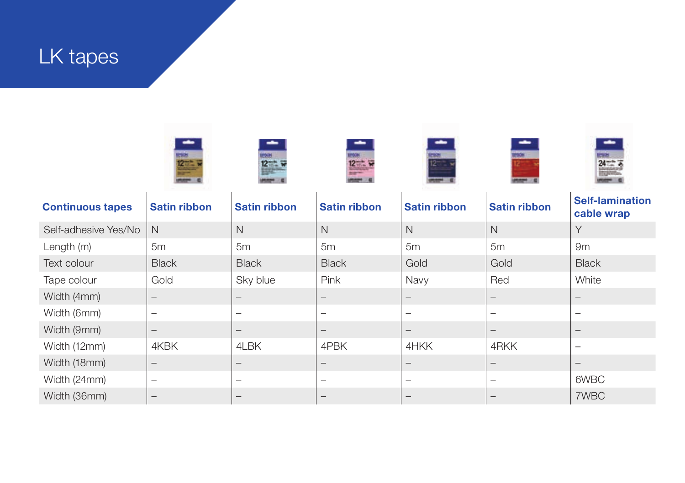## LK tapes













| <b>Continuous tapes</b> | <b>Satin ribbon</b> | <b>Satin ribbon</b>      | Satin ribbon                    | <b>Satin ribbon</b>      | <b>Satin ribbon</b> | <b>Self-lamination</b><br>cable wrap |
|-------------------------|---------------------|--------------------------|---------------------------------|--------------------------|---------------------|--------------------------------------|
| Self-adhesive Yes/No    | N                   | N                        | $\mathsf{N}$                    | N                        | $\mathsf{N}$        | $\vee$                               |
| Length (m)              | 5m                  | 5 <sub>m</sub>           | 5m                              | 5m                       | 5m                  | 9m                                   |
| Text colour             | <b>Black</b>        | <b>Black</b>             | <b>Black</b>                    | Gold                     | Gold                | <b>Black</b>                         |
| Tape colour             | Gold                | Sky blue                 | Pink                            | Navy                     | Red                 | White                                |
| Width (4mm)             |                     | $\overline{\phantom{0}}$ | $\overline{\phantom{m}}$        |                          |                     | $\overline{\phantom{m}}$             |
| Width (6mm)             | —                   | $\qquad \qquad -$        | $\overline{\phantom{m}}$        |                          | —                   | $\qquad \qquad -$                    |
| Width (9mm)             | —                   | $\qquad \qquad -$        | $\overline{\phantom{m}}$        | $\qquad \qquad -$        |                     | $\overline{\phantom{m}}$             |
| Width (12mm)            | 4KBK                | 4LBK                     | 4PBK                            | 4HKK                     | 4RKK                |                                      |
| Width (18mm)            | $\qquad \qquad -$   | $\qquad \qquad -$        | $\overline{\phantom{m}}$        | $\overline{\phantom{m}}$ |                     | $\overline{\phantom{m}}$             |
| Width (24mm)            | —                   | $\overline{\phantom{m}}$ | $\qquad \qquad$                 | $\overline{\phantom{m}}$ | -                   | 6WBC                                 |
| Width (36mm)            |                     |                          | $\hspace{0.1mm}-\hspace{0.1mm}$ |                          |                     | 7WBC                                 |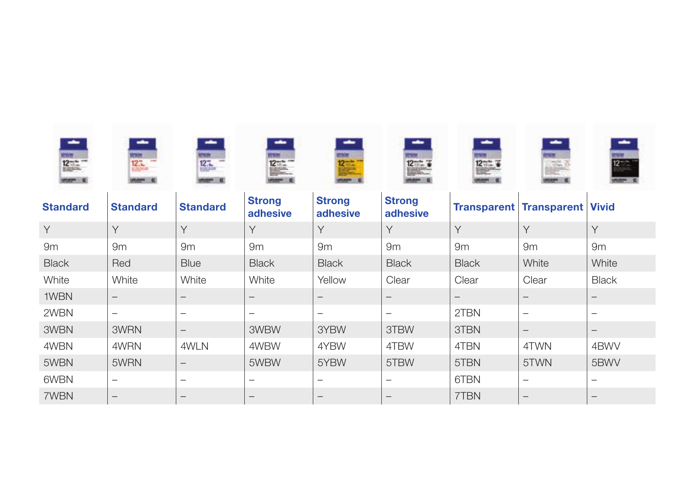| -<br><b>BSS</b><br>$12 - 7$<br>$-$ | $12 -$<br><b>Multiple C</b> | -<br><b>DOM</b><br>$12 -$ | -<br>$12 - 12$            | -<br><b>DOOM</b><br>$12-4$<br><b>BEE</b> | -<br>$12 - 7$             | -<br>an a<br>$12 - 7$    | 93<br>125.0                          | <b>Hotel</b><br>$12^{-n}$<br><b>STATE</b> |
|------------------------------------|-----------------------------|---------------------------|---------------------------|------------------------------------------|---------------------------|--------------------------|--------------------------------------|-------------------------------------------|
| <b>Standard</b>                    | <b>Standard</b>             | <b>Standard</b>           | <b>Strong</b><br>adhesive | <b>Strong</b><br>adhesive                | <b>Strong</b><br>adhesive |                          | <b>Transparent Transparent Vivid</b> |                                           |
| Y                                  | Y                           | Y                         | Y                         | Y                                        | Y                         | Y                        | Y                                    | Y                                         |
| 9 <sub>m</sub>                     | 9 <sub>m</sub>              | 9 <sub>m</sub>            | 9 <sub>m</sub>            | 9 <sub>m</sub>                           | 9 <sub>m</sub>            | 9 <sub>m</sub>           | 9 <sub>m</sub>                       | 9 <sub>m</sub>                            |
| <b>Black</b>                       | Red                         | <b>Blue</b>               | <b>Black</b>              | <b>Black</b>                             | <b>Black</b>              | <b>Black</b>             | White                                | White                                     |
| White                              | White                       | White                     | White                     | Yellow                                   | Clear                     | Clear                    | Clear                                | <b>Black</b>                              |
| 1WBN                               | $\overline{\phantom{m}}$    | $\overline{\phantom{m}}$  | $\qquad \qquad -$         | —                                        | $\qquad \qquad -$         | $\overline{\phantom{m}}$ | $\overline{\phantom{m}}$             | $\overline{\phantom{m}}$                  |
| 2WBN                               | $\overline{\phantom{m}}$    | $\qquad \qquad -$         | $\qquad \qquad -$         | $\overline{\phantom{0}}$                 | $\overline{\phantom{0}}$  | 2TBN                     | $\overline{\phantom{0}}$             | $\overline{\phantom{m}}$                  |
| 3WBN                               | 3WRN                        | $\qquad \qquad -$         | 3WBW                      | 3YBW                                     | 3TBW                      | 3TBN                     | $\overline{\phantom{m}}$             | $\overline{\phantom{m}}$                  |
| 4WBN                               | 4WRN                        | 4WLN                      | 4WBW                      | 4YBW                                     | 4TBW                      | 4TBN                     | 4TWN                                 | 4BWV                                      |
| 5WBN                               | 5WRN                        | $\qquad \qquad -$         | 5WBW                      | 5YBW                                     | 5TBW                      | 5TBN                     | 5TWN                                 | 5BWV                                      |
| 6WBN                               | $\overline{\phantom{m}}$    | $\qquad \qquad -$         | $\qquad \qquad -$         | —                                        | $\overline{\phantom{0}}$  | 6TBN                     | $\overline{\phantom{0}}$             | $\overbrace{\phantom{1232211}}$           |
| 7WBN                               | $\overline{\phantom{m}}$    | $\qquad \qquad -$         | $\qquad \qquad -$         | $\qquad \qquad$                          | $\qquad \qquad -$         | 7TBN                     |                                      | $\overline{\phantom{m}}$                  |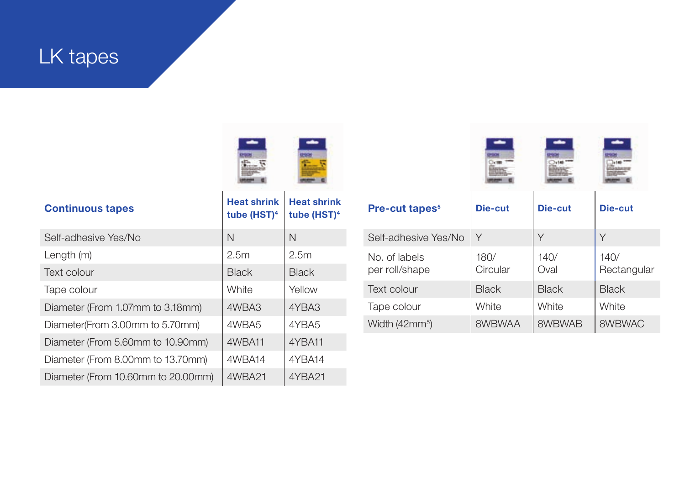## LK tapes

| <b>Continuous tapes</b> |  |  |  |  |  |
|-------------------------|--|--|--|--|--|
|-------------------------|--|--|--|--|--|

| Self-adhesive Yes/No               | N            | N            |
|------------------------------------|--------------|--------------|
| Length (m)                         | 2.5m         | 2.5m         |
| Text colour                        | <b>Black</b> | <b>Black</b> |
| Tape colour                        | White        | Yellow       |
| Diameter (From 1.07mm to 3.18mm)   | 4WBA3        | 4YBA3        |
| Diameter(From 3.00mm to 5.70mm)    | 4WBA5        | 4YBA5        |
| Diameter (From 5.60mm to 10.90mm)  | 4WBA11       | 4YBA11       |
| Diameter (From 8.00mm to 13.70mm)  | 4WBA14       | 4YBA14       |
| Diameter (From 10.60mm to 20.00mm) | 4WBA21       | 4YBA21       |



#### Heat shrink tube  $(HST)^4$ Heat shrink tube (HST)<sup>4</sup>

| <b>Pre-cut tapes</b> <sup>5</sup> | Die-cut          | Die-cut      | Die-cut             |
|-----------------------------------|------------------|--------------|---------------------|
| Self-adhesive Yes/No              | Υ                | Υ            | Υ                   |
| No. of labels<br>per roll/shape   | 180/<br>Circular | 140/<br>Oval | 140/<br>Rectangular |
| Text colour                       | <b>Black</b>     | <b>Black</b> | <b>Black</b>        |
| Tape colour                       | White            | White        | White               |
| Width (42mm <sup>5</sup> )        | 8WBWAA           | 8WBWAB       | 8WBWAC              |

 $rac{1}{2}$ 

 $214 -$ 

 $3.10 -$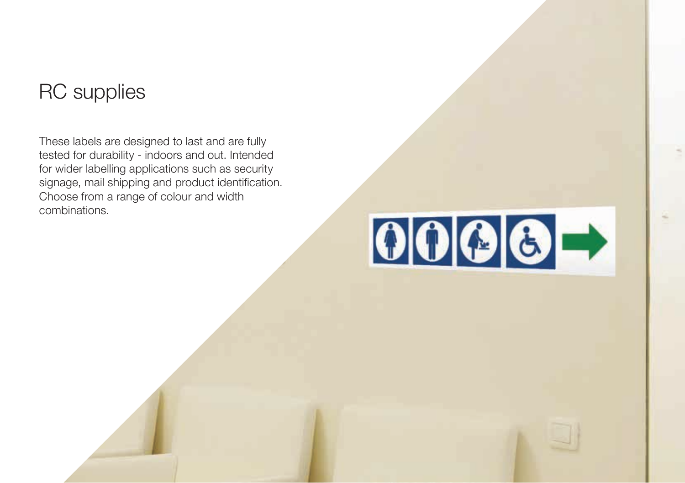#### RC supplies

These labels are designed to last and are fully tested for durability - indoors and out. Intended for wider labelling applications such as security signage, mail shipping and product identification. Choose from a range of colour and width combinations.

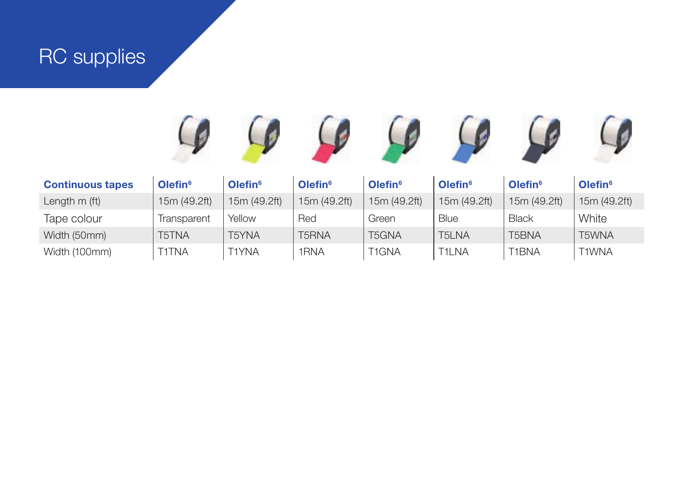### RC supplies





| <b>Continuous tapes</b> | Olefin <sup>6</sup> | $O$ lefin $6$ | Olefin <sup>6</sup> | $O$ lefin $6$      | Oleft <sub>6</sub> | $O$ lefin $6$      | $O$ lefin $6$ |
|-------------------------|---------------------|---------------|---------------------|--------------------|--------------------|--------------------|---------------|
| Length m (ft)           | 15m (49.2ft)        | 15m (49.2ft)  | 15m (49.2ft)        | 15m (49.2ft)       | 15m (49.2ft)       | 15m (49.2ft)       | 15m (49.2ft)  |
| Tape colour             | Transparent         | Yellow        | Red                 | Green              | <b>Blue</b>        | <b>Black</b>       | White         |
| Width (50mm)            | T5TNA               | T5YNA         | T <sub>5</sub> RNA  | T <sub>5</sub> GNA | T5LNA              | T <sub>5</sub> BNA | <b>T5WNA</b>  |
| Width (100mm)           | T1TNA               | T1YNA         | 1 <sub>RNA</sub>    | T <sub>1</sub> GNA | T1LNA              | T1BNA              | T1WNA         |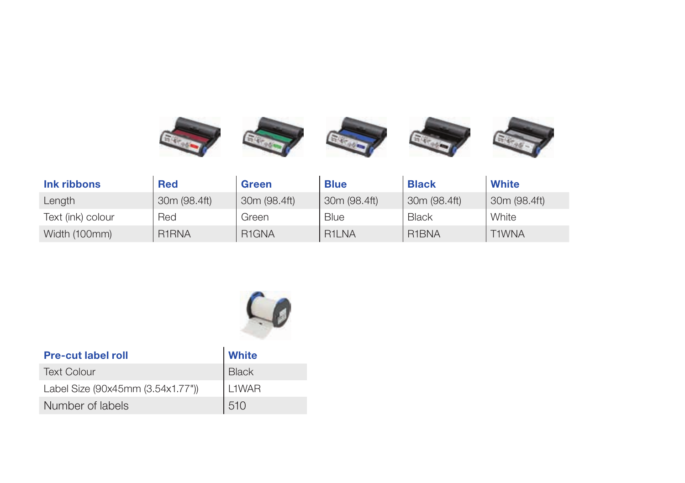





| <b>Ink ribbons</b> | <b>Red</b>         | <b>Green</b>       | <b>Blue</b>        | <b>Black</b>       | <b>White</b> |
|--------------------|--------------------|--------------------|--------------------|--------------------|--------------|
| Length             | 30m (98.4ft)       | 30m (98.4ft)       | 30m (98.4ft)       | 30m (98.4ft)       | 30m (98.4ft) |
| Text (ink) colour  | Red                | Green              | Blue               | <b>Black</b>       | White        |
| Width (100mm)      | R <sub>1</sub> RNA | R <sub>1</sub> GNA | R <sub>1</sub> LNA | R <sub>1</sub> BNA | <b>T1WNA</b> |



| <b>Pre-cut label roll</b>         | <b>White</b> |
|-----------------------------------|--------------|
| <b>Text Colour</b>                | <b>Black</b> |
| Label Size (90x45mm (3.54x1.77")) | L1WAR        |
| Number of labels                  | 510          |